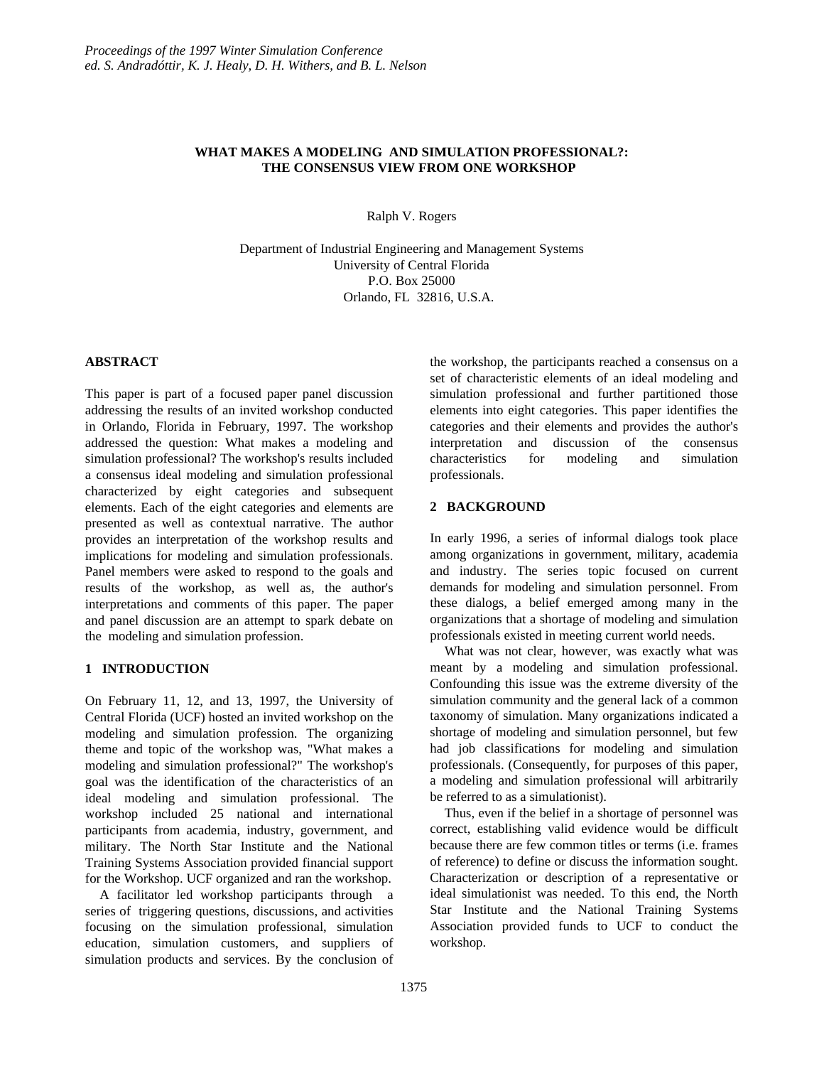## **WHAT MAKES A MODELING AND SIMULATION PROFESSIONAL?: THE CONSENSUS VIEW FROM ONE WORKSHOP**

Ralph V. Rogers

Department of Industrial Engineering and Management Systems University of Central Florida P.O. Box 25000 Orlando, FL 32816, U.S.A.

### **ABSTRACT**

This paper is part of a focused paper panel discussion addressing the results of an invited workshop conducted in Orlando, Florida in February, 1997. The workshop addressed the question: What makes a modeling and simulation professional? The workshop's results included a consensus ideal modeling and simulation professional characterized by eight categories and subsequent elements. Each of the eight categories and elements are presented as well as contextual narrative. The author provides an interpretation of the workshop results and implications for modeling and simulation professionals. Panel members were asked to respond to the goals and results of the workshop, as well as, the author's interpretations and comments of this paper. The paper and panel discussion are an attempt to spark debate on the modeling and simulation profession.

## **1 INTRODUCTION**

On February 11, 12, and 13, 1997, the University of Central Florida (UCF) hosted an invited workshop on the modeling and simulation profession. The organizing theme and topic of the workshop was, "What makes a modeling and simulation professional?" The workshop's goal was the identification of the characteristics of an ideal modeling and simulation professional. The workshop included 25 national and international participants from academia, industry, government, and military. The North Star Institute and the National Training Systems Association provided financial support for the Workshop. UCF organized and ran the workshop.

A facilitator led workshop participants through a series of triggering questions, discussions, and activities focusing on the simulation professional, simulation education, simulation customers, and suppliers of simulation products and services. By the conclusion of the workshop, the participants reached a consensus on a set of characteristic elements of an ideal modeling and simulation professional and further partitioned those elements into eight categories. This paper identifies the categories and their elements and provides the author's interpretation and discussion of the consensus characteristics for modeling and simulation professionals.

### **2 BACKGROUND**

In early 1996, a series of informal dialogs took place among organizations in government, military, academia and industry. The series topic focused on current demands for modeling and simulation personnel. From these dialogs, a belief emerged among many in the organizations that a shortage of modeling and simulation professionals existed in meeting current world needs.

What was not clear, however, was exactly what was meant by a modeling and simulation professional. Confounding this issue was the extreme diversity of the simulation community and the general lack of a common taxonomy of simulation. Many organizations indicated a shortage of modeling and simulation personnel, but few had job classifications for modeling and simulation professionals. (Consequently, for purposes of this paper, a modeling and simulation professional will arbitrarily be referred to as a simulationist).

Thus, even if the belief in a shortage of personnel was correct, establishing valid evidence would be difficult because there are few common titles or terms (i.e. frames of reference) to define or discuss the information sought. Characterization or description of a representative or ideal simulationist was needed. To this end, the North Star Institute and the National Training Systems Association provided funds to UCF to conduct the workshop.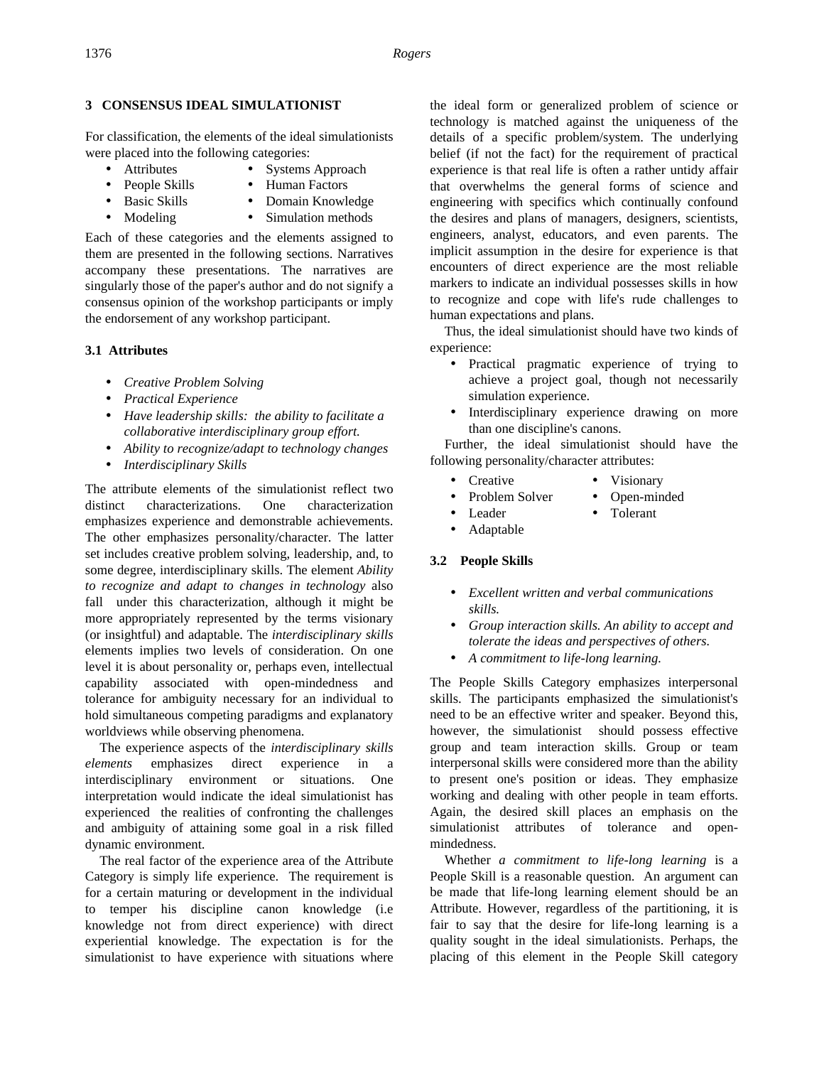## **3 CONSENSUS IDEAL SIMULATIONIST**

For classification, the elements of the ideal simulationists were placed into the following categories:

- Attributes Systems Approach
- People Skills Human Factors
- 
- Basic Skills Domain Knowledge
- Modeling Simulation methods

Each of these categories and the elements assigned to them are presented in the following sections. Narratives accompany these presentations. The narratives are singularly those of the paper's author and do not signify a consensus opinion of the workshop participants or imply the endorsement of any workshop participant.

## **3.1 Attributes**

- *Creative Problem Solving*
- *Practical Experience*
- *Have leadership skills: the ability to facilitate a collaborative interdisciplinary group effort.*
- *Ability to recognize/adapt to technology changes*
- *Interdisciplinary Skills*

The attribute elements of the simulationist reflect two distinct characterizations. One characterization emphasizes experience and demonstrable achievements. The other emphasizes personality/character. The latter set includes creative problem solving, leadership, and, to some degree, interdisciplinary skills. The element *Ability to recognize and adapt to changes in technology* also fall under this characterization, although it might be more appropriately represented by the terms visionary (or insightful) and adaptable. The *interdisciplinary skills* elements implies two levels of consideration. On one level it is about personality or, perhaps even, intellectual capability associated with open-mindedness and tolerance for ambiguity necessary for an individual to hold simultaneous competing paradigms and explanatory worldviews while observing phenomena.

The experience aspects of the *interdisciplinary skills elements* emphasizes direct experience in a interdisciplinary environment or situations. One interpretation would indicate the ideal simulationist has experienced the realities of confronting the challenges and ambiguity of attaining some goal in a risk filled dynamic environment.

The real factor of the experience area of the Attribute Category is simply life experience. The requirement is for a certain maturing or development in the individual to temper his discipline canon knowledge (i.e knowledge not from direct experience) with direct experiential knowledge. The expectation is for the simulationist to have experience with situations where

the ideal form or generalized problem of science or technology is matched against the uniqueness of the details of a specific problem/system. The underlying belief (if not the fact) for the requirement of practical experience is that real life is often a rather untidy affair that overwhelms the general forms of science and engineering with specifics which continually confound the desires and plans of managers, designers, scientists, engineers, analyst, educators, and even parents. The implicit assumption in the desire for experience is that encounters of direct experience are the most reliable markers to indicate an individual possesses skills in how to recognize and cope with life's rude challenges to human expectations and plans.

Thus, the ideal simulationist should have two kinds of experience:

- Practical pragmatic experience of trying to achieve a project goal, though not necessarily simulation experience.
- Interdisciplinary experience drawing on more than one discipline's canons.

Further, the ideal simulationist should have the following personality/character attributes:

- Creative Visionary
- Problem Solver Open-minded
	- Leader Tolerant
- 
- Adaptable

# **3.2 People Skills**

- *Excellent written and verbal communications skills.*
- *Group interaction skills. An ability to accept and tolerate the ideas and perspectives of others.*
- *A commitment to life-long learning.*

The People Skills Category emphasizes interpersonal skills. The participants emphasized the simulationist's need to be an effective writer and speaker. Beyond this, however, the simulationist should possess effective group and team interaction skills. Group or team interpersonal skills were considered more than the ability to present one's position or ideas. They emphasize working and dealing with other people in team efforts. Again, the desired skill places an emphasis on the simulationist attributes of tolerance and openmindedness.

Whether *a commitment to life-long learning* is a People Skill is a reasonable question. An argument can be made that life-long learning element should be an Attribute. However, regardless of the partitioning, it is fair to say that the desire for life-long learning is a quality sought in the ideal simulationists. Perhaps, the placing of this element in the People Skill category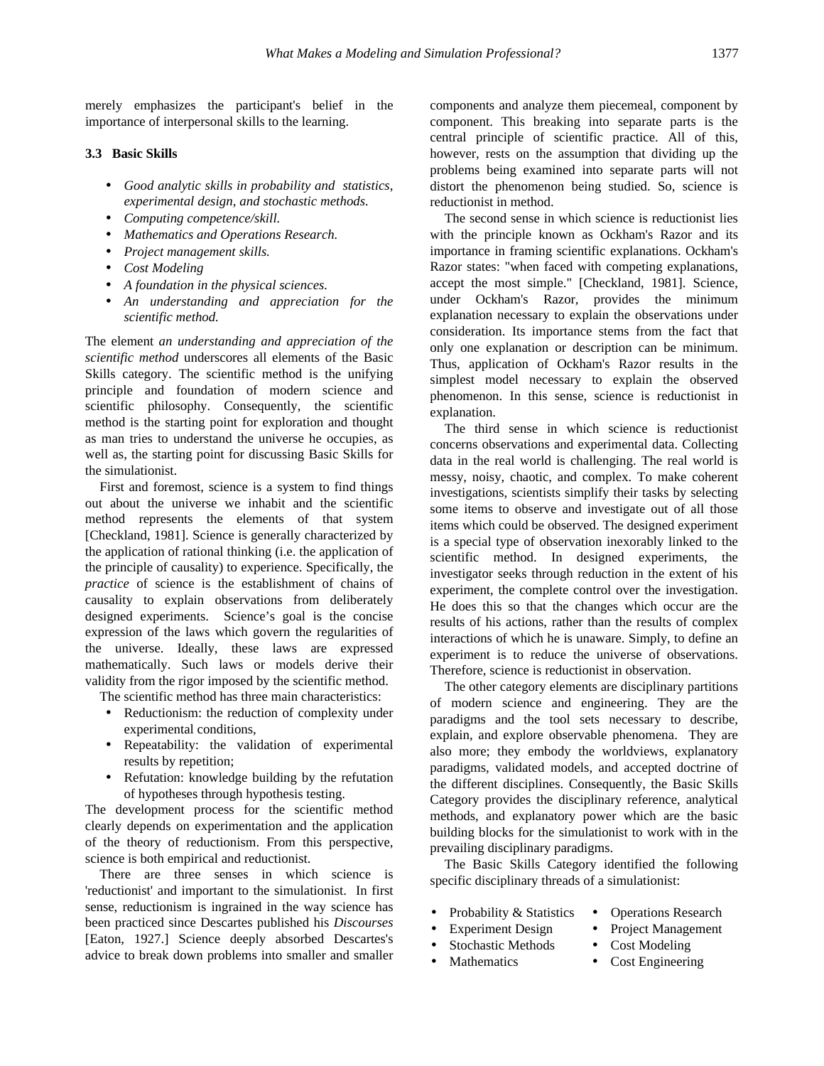merely emphasizes the participant's belief in the importance of interpersonal skills to the learning.

### **3.3 Basic Skills**

- *Good analytic skills in probability and statistics, experimental design, and stochastic methods.*
- *Computing competence/skill.*
- *Mathematics and Operations Research.*
- *Project management skills.*
- *Cost Modeling*
- *A foundation in the physical sciences.*
- *An understanding and appreciation for the scientific method.*

The element *an understanding and appreciation of the scientific method* underscores all elements of the Basic Skills category. The scientific method is the unifying principle and foundation of modern science and scientific philosophy. Consequently, the scientific method is the starting point for exploration and thought as man tries to understand the universe he occupies, as well as, the starting point for discussing Basic Skills for the simulationist.

First and foremost, science is a system to find things out about the universe we inhabit and the scientific method represents the elements of that system [Checkland, 1981]. Science is generally characterized by the application of rational thinking (i.e. the application of the principle of causality) to experience. Specifically, the *practice* of science is the establishment of chains of causality to explain observations from deliberately designed experiments. Science's goal is the concise expression of the laws which govern the regularities of the universe. Ideally, these laws are expressed mathematically. Such laws or models derive their validity from the rigor imposed by the scientific method.

The scientific method has three main characteristics:

- Reductionism: the reduction of complexity under experimental conditions,
- Repeatability: the validation of experimental results by repetition;
- Refutation: knowledge building by the refutation of hypotheses through hypothesis testing.

The development process for the scientific method clearly depends on experimentation and the application of the theory of reductionism. From this perspective, science is both empirical and reductionist.

There are three senses in which science is 'reductionist' and important to the simulationist. In first sense, reductionism is ingrained in the way science has been practiced since Descartes published his *Discourses* [Eaton, 1927.] Science deeply absorbed Descartes's advice to break down problems into smaller and smaller components and analyze them piecemeal, component by component. This breaking into separate parts is the central principle of scientific practice. All of this, however, rests on the assumption that dividing up the problems being examined into separate parts will not distort the phenomenon being studied. So, science is reductionist in method.

The second sense in which science is reductionist lies with the principle known as Ockham's Razor and its importance in framing scientific explanations. Ockham's Razor states: "when faced with competing explanations, accept the most simple." [Checkland, 1981]. Science, under Ockham's Razor, provides the minimum explanation necessary to explain the observations under consideration. Its importance stems from the fact that only one explanation or description can be minimum. Thus, application of Ockham's Razor results in the simplest model necessary to explain the observed phenomenon. In this sense, science is reductionist in explanation.

The third sense in which science is reductionist concerns observations and experimental data. Collecting data in the real world is challenging. The real world is messy, noisy, chaotic, and complex. To make coherent investigations, scientists simplify their tasks by selecting some items to observe and investigate out of all those items which could be observed. The designed experiment is a special type of observation inexorably linked to the scientific method. In designed experiments, the investigator seeks through reduction in the extent of his experiment, the complete control over the investigation. He does this so that the changes which occur are the results of his actions, rather than the results of complex interactions of which he is unaware. Simply, to define an experiment is to reduce the universe of observations. Therefore, science is reductionist in observation.

The other category elements are disciplinary partitions of modern science and engineering. They are the paradigms and the tool sets necessary to describe, explain, and explore observable phenomena. They are also more; they embody the worldviews, explanatory paradigms, validated models, and accepted doctrine of the different disciplines. Consequently, the Basic Skills Category provides the disciplinary reference, analytical methods, and explanatory power which are the basic building blocks for the simulationist to work with in the prevailing disciplinary paradigms.

The Basic Skills Category identified the following specific disciplinary threads of a simulationist:

• Probability & Statistics • Operations Research

Stochastic Methods

- 
- Experiment Design Project Management
	- Cost Modeling
- Mathematics
- Cost Engineering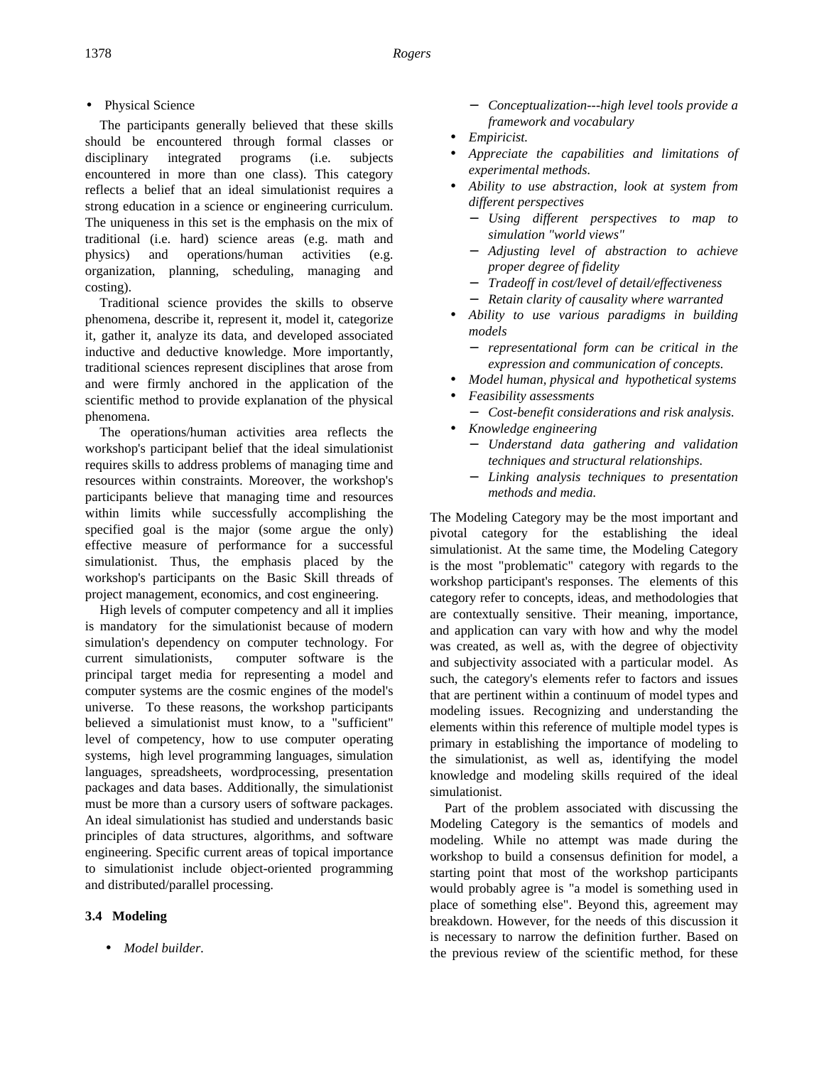• Physical Science

The participants generally believed that these skills should be encountered through formal classes or disciplinary integrated programs (i.e. subjects encountered in more than one class). This category reflects a belief that an ideal simulationist requires a strong education in a science or engineering curriculum. The uniqueness in this set is the emphasis on the mix of traditional (i.e. hard) science areas (e.g. math and physics) and operations/human activities (e.g. organization, planning, scheduling, managing and costing).

Traditional science provides the skills to observe phenomena, describe it, represent it, model it, categorize it, gather it, analyze its data, and developed associated inductive and deductive knowledge. More importantly, traditional sciences represent disciplines that arose from and were firmly anchored in the application of the scientific method to provide explanation of the physical phenomena.

The operations/human activities area reflects the workshop's participant belief that the ideal simulationist requires skills to address problems of managing time and resources within constraints. Moreover, the workshop's participants believe that managing time and resources within limits while successfully accomplishing the specified goal is the major (some argue the only) effective measure of performance for a successful simulationist. Thus, the emphasis placed by the workshop's participants on the Basic Skill threads of project management, economics, and cost engineering.

High levels of computer competency and all it implies is mandatory for the simulationist because of modern simulation's dependency on computer technology. For current simulationists, computer software is the principal target media for representing a model and computer systems are the cosmic engines of the model's universe. To these reasons, the workshop participants believed a simulationist must know, to a "sufficient" level of competency, how to use computer operating systems, high level programming languages, simulation languages, spreadsheets, wordprocessing, presentation packages and data bases. Additionally, the simulationist must be more than a cursory users of software packages. An ideal simulationist has studied and understands basic principles of data structures, algorithms, and software engineering. Specific current areas of topical importance to simulationist include object-oriented programming and distributed/parallel processing.

# **3.4 Modeling**

• *Model builder.*

- − *Conceptualization---high level tools provide a framework and vocabulary*
- *Empiricist.*
- *Appreciate the capabilities and limitations of experimental methods.*
- *Ability to use abstraction, look at system from different perspectives*
	- − *Using different perspectives to map to simulation "world views"*
	- − *Adjusting level of abstraction to achieve proper degree of fidelity*
	- − *Tradeoff in cost/level of detail/effectiveness*
	- − *Retain clarity of causality where warranted*
- *Ability to use various paradigms in building models*
	- − *representational form can be critical in the expression and communication of concepts.*
- *Model human, physical and hypothetical systems*
- *Feasibility assessments*
	- − *Cost-benefit considerations and risk analysis.*
- *Knowledge engineering*
	- − *Understand data gathering and validation techniques and structural relationships.*
	- − *Linking analysis techniques to presentation methods and media.*

The Modeling Category may be the most important and pivotal category for the establishing the ideal simulationist. At the same time, the Modeling Category is the most "problematic" category with regards to the workshop participant's responses. The elements of this category refer to concepts, ideas, and methodologies that are contextually sensitive. Their meaning, importance, and application can vary with how and why the model was created, as well as, with the degree of objectivity and subjectivity associated with a particular model. As such, the category's elements refer to factors and issues that are pertinent within a continuum of model types and modeling issues. Recognizing and understanding the elements within this reference of multiple model types is primary in establishing the importance of modeling to the simulationist, as well as, identifying the model knowledge and modeling skills required of the ideal simulationist.

Part of the problem associated with discussing the Modeling Category is the semantics of models and modeling. While no attempt was made during the workshop to build a consensus definition for model, a starting point that most of the workshop participants would probably agree is "a model is something used in place of something else". Beyond this, agreement may breakdown. However, for the needs of this discussion it is necessary to narrow the definition further. Based on the previous review of the scientific method, for these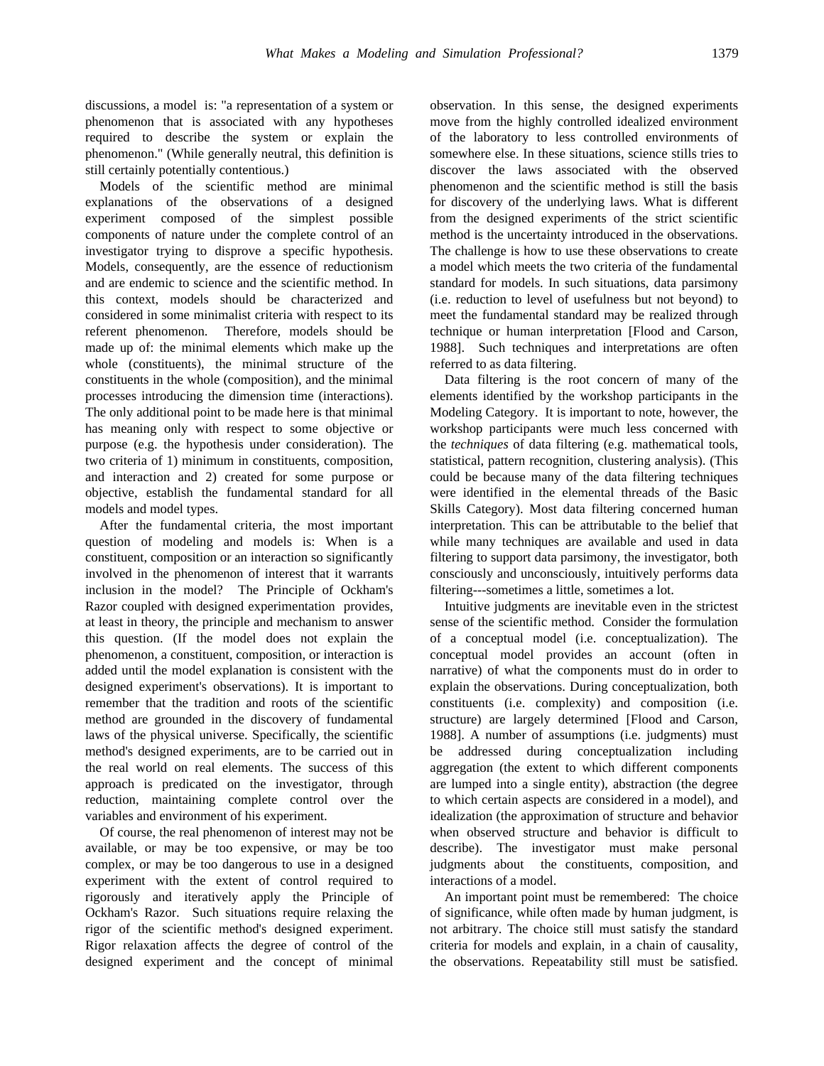discussions, a model is: "a representation of a system or phenomenon that is associated with any hypotheses required to describe the system or explain the phenomenon." (While generally neutral, this definition is still certainly potentially contentious.)

Models of the scientific method are minimal explanations of the observations of a designed experiment composed of the simplest possible components of nature under the complete control of an investigator trying to disprove a specific hypothesis. Models, consequently, are the essence of reductionism and are endemic to science and the scientific method. In this context, models should be characterized and considered in some minimalist criteria with respect to its referent phenomenon. Therefore, models should be made up of: the minimal elements which make up the whole (constituents), the minimal structure of the constituents in the whole (composition), and the minimal processes introducing the dimension time (interactions). The only additional point to be made here is that minimal has meaning only with respect to some objective or purpose (e.g. the hypothesis under consideration). The two criteria of 1) minimum in constituents, composition, and interaction and 2) created for some purpose or objective, establish the fundamental standard for all models and model types.

After the fundamental criteria, the most important question of modeling and models is: When is a constituent, composition or an interaction so significantly involved in the phenomenon of interest that it warrants inclusion in the model? The Principle of Ockham's Razor coupled with designed experimentation provides, at least in theory, the principle and mechanism to answer this question. (If the model does not explain the phenomenon, a constituent, composition, or interaction is added until the model explanation is consistent with the designed experiment's observations). It is important to remember that the tradition and roots of the scientific method are grounded in the discovery of fundamental laws of the physical universe. Specifically, the scientific method's designed experiments, are to be carried out in the real world on real elements. The success of this approach is predicated on the investigator, through reduction, maintaining complete control over the variables and environment of his experiment.

Of course, the real phenomenon of interest may not be available, or may be too expensive, or may be too complex, or may be too dangerous to use in a designed experiment with the extent of control required to rigorously and iteratively apply the Principle of Ockham's Razor. Such situations require relaxing the rigor of the scientific method's designed experiment. Rigor relaxation affects the degree of control of the designed experiment and the concept of minimal observation. In this sense, the designed experiments move from the highly controlled idealized environment of the laboratory to less controlled environments of somewhere else. In these situations, science stills tries to discover the laws associated with the observed phenomenon and the scientific method is still the basis for discovery of the underlying laws. What is different from the designed experiments of the strict scientific method is the uncertainty introduced in the observations. The challenge is how to use these observations to create a model which meets the two criteria of the fundamental standard for models. In such situations, data parsimony (i.e. reduction to level of usefulness but not beyond) to meet the fundamental standard may be realized through technique or human interpretation [Flood and Carson, 1988]. Such techniques and interpretations are often referred to as data filtering.

Data filtering is the root concern of many of the elements identified by the workshop participants in the Modeling Category. It is important to note, however, the workshop participants were much less concerned with the *techniques* of data filtering (e.g. mathematical tools, statistical, pattern recognition, clustering analysis). (This could be because many of the data filtering techniques were identified in the elemental threads of the Basic Skills Category). Most data filtering concerned human interpretation. This can be attributable to the belief that while many techniques are available and used in data filtering to support data parsimony, the investigator, both consciously and unconsciously, intuitively performs data filtering---sometimes a little, sometimes a lot.

Intuitive judgments are inevitable even in the strictest sense of the scientific method. Consider the formulation of a conceptual model (i.e. conceptualization). The conceptual model provides an account (often in narrative) of what the components must do in order to explain the observations. During conceptualization, both constituents (i.e. complexity) and composition (i.e. structure) are largely determined [Flood and Carson, 1988]. A number of assumptions (i.e. judgments) must be addressed during conceptualization including aggregation (the extent to which different components are lumped into a single entity), abstraction (the degree to which certain aspects are considered in a model), and idealization (the approximation of structure and behavior when observed structure and behavior is difficult to describe). The investigator must make personal judgments about the constituents, composition, and interactions of a model.

An important point must be remembered: The choice of significance, while often made by human judgment, is not arbitrary. The choice still must satisfy the standard criteria for models and explain, in a chain of causality, the observations. Repeatability still must be satisfied.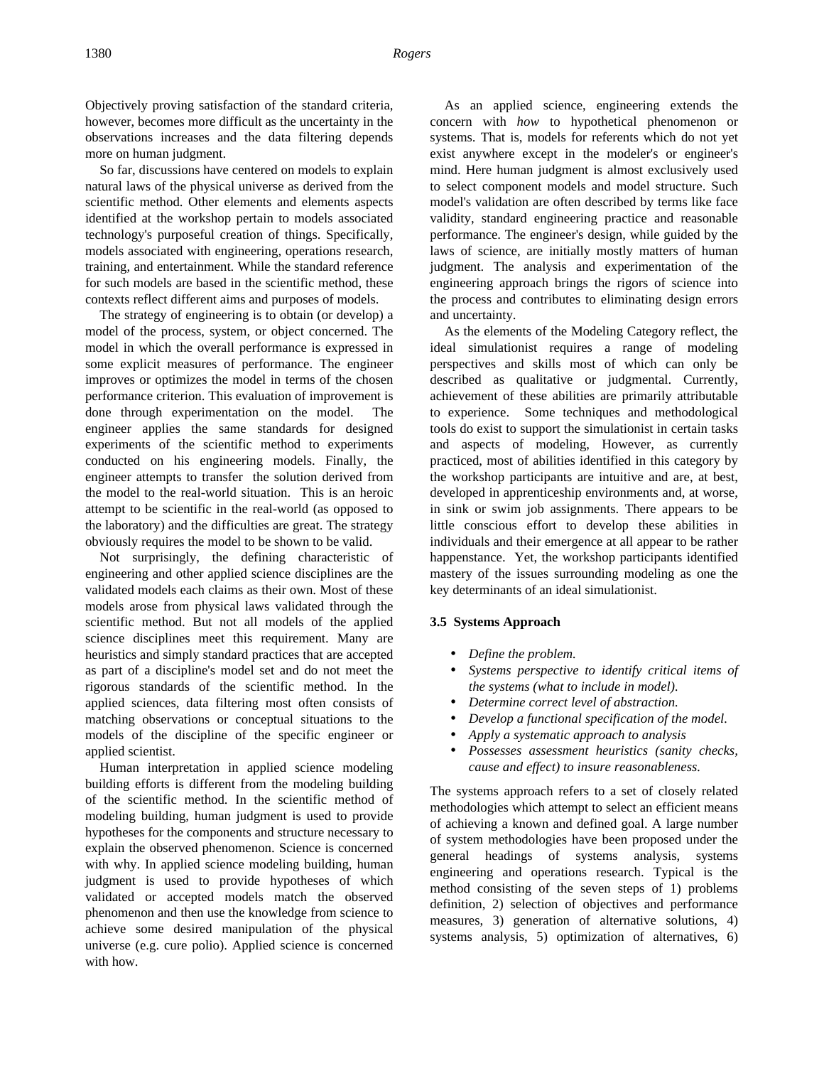Objectively proving satisfaction of the standard criteria, however, becomes more difficult as the uncertainty in the observations increases and the data filtering depends more on human judgment.

So far, discussions have centered on models to explain natural laws of the physical universe as derived from the scientific method. Other elements and elements aspects identified at the workshop pertain to models associated technology's purposeful creation of things. Specifically, models associated with engineering, operations research, training, and entertainment. While the standard reference for such models are based in the scientific method, these contexts reflect different aims and purposes of models.

The strategy of engineering is to obtain (or develop) a model of the process, system, or object concerned. The model in which the overall performance is expressed in some explicit measures of performance. The engineer improves or optimizes the model in terms of the chosen performance criterion. This evaluation of improvement is done through experimentation on the model. The engineer applies the same standards for designed experiments of the scientific method to experiments conducted on his engineering models. Finally, the engineer attempts to transfer the solution derived from the model to the real-world situation. This is an heroic attempt to be scientific in the real-world (as opposed to the laboratory) and the difficulties are great. The strategy obviously requires the model to be shown to be valid.

Not surprisingly, the defining characteristic of engineering and other applied science disciplines are the validated models each claims as their own. Most of these models arose from physical laws validated through the scientific method. But not all models of the applied science disciplines meet this requirement. Many are heuristics and simply standard practices that are accepted as part of a discipline's model set and do not meet the rigorous standards of the scientific method. In the applied sciences, data filtering most often consists of matching observations or conceptual situations to the models of the discipline of the specific engineer or applied scientist.

Human interpretation in applied science modeling building efforts is different from the modeling building of the scientific method. In the scientific method of modeling building, human judgment is used to provide hypotheses for the components and structure necessary to explain the observed phenomenon. Science is concerned with why. In applied science modeling building, human judgment is used to provide hypotheses of which validated or accepted models match the observed phenomenon and then use the knowledge from science to achieve some desired manipulation of the physical universe (e.g. cure polio). Applied science is concerned with how.

As an applied science, engineering extends the concern with *how* to hypothetical phenomenon or systems. That is, models for referents which do not yet exist anywhere except in the modeler's or engineer's mind. Here human judgment is almost exclusively used to select component models and model structure. Such model's validation are often described by terms like face validity, standard engineering practice and reasonable performance. The engineer's design, while guided by the laws of science, are initially mostly matters of human judgment. The analysis and experimentation of the engineering approach brings the rigors of science into the process and contributes to eliminating design errors and uncertainty.

As the elements of the Modeling Category reflect, the ideal simulationist requires a range of modeling perspectives and skills most of which can only be described as qualitative or judgmental. Currently, achievement of these abilities are primarily attributable to experience. Some techniques and methodological tools do exist to support the simulationist in certain tasks and aspects of modeling, However, as currently practiced, most of abilities identified in this category by the workshop participants are intuitive and are, at best, developed in apprenticeship environments and, at worse, in sink or swim job assignments. There appears to be little conscious effort to develop these abilities in individuals and their emergence at all appear to be rather happenstance. Yet, the workshop participants identified mastery of the issues surrounding modeling as one the key determinants of an ideal simulationist.

### **3.5 Systems Approach**

- *Define the problem.*
- *Systems perspective to identify critical items of the systems (what to include in model).*
- *Determine correct level of abstraction.*
- *Develop a functional specification of the model.*
- *Apply a systematic approach to analysis*
- *Possesses assessment heuristics (sanity checks, cause and effect) to insure reasonableness.*

The systems approach refers to a set of closely related methodologies which attempt to select an efficient means of achieving a known and defined goal. A large number of system methodologies have been proposed under the general headings of systems analysis, systems engineering and operations research. Typical is the method consisting of the seven steps of 1) problems definition, 2) selection of objectives and performance measures, 3) generation of alternative solutions, 4) systems analysis, 5) optimization of alternatives, 6)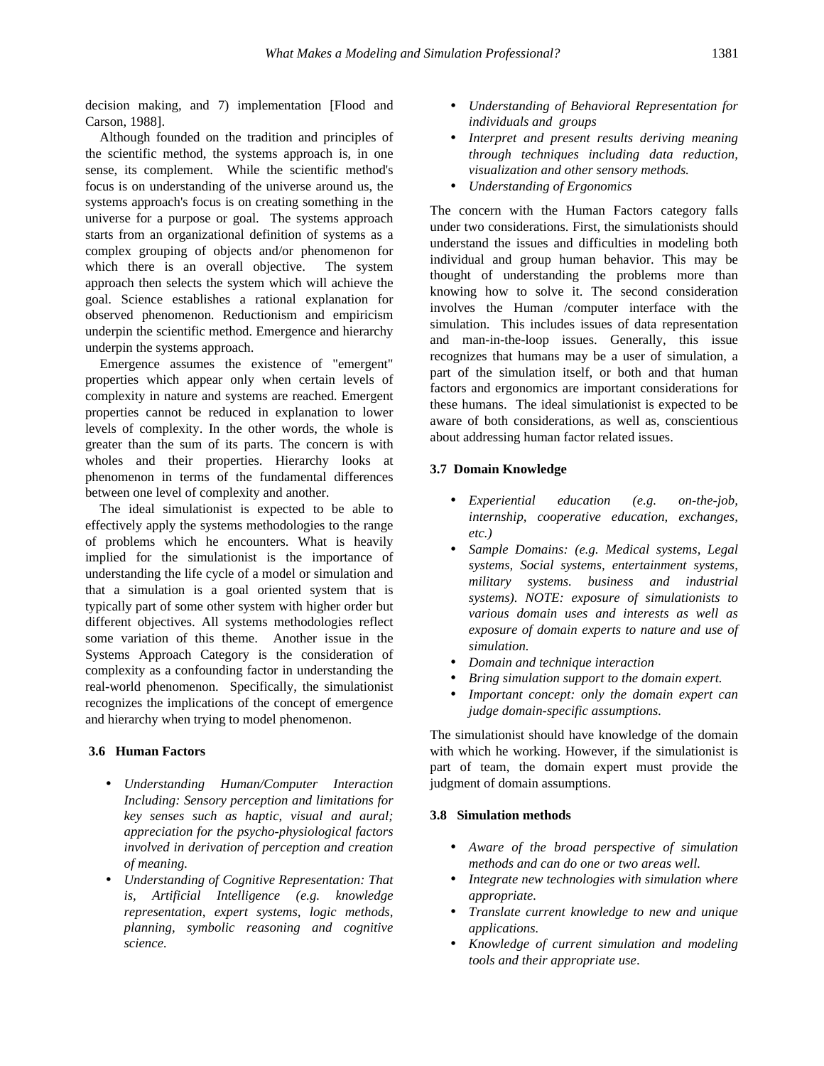decision making, and 7) implementation [Flood and Carson, 1988].

Although founded on the tradition and principles of the scientific method, the systems approach is, in one sense, its complement. While the scientific method's focus is on understanding of the universe around us, the systems approach's focus is on creating something in the universe for a purpose or goal. The systems approach starts from an organizational definition of systems as a complex grouping of objects and/or phenomenon for which there is an overall objective. The system approach then selects the system which will achieve the goal. Science establishes a rational explanation for observed phenomenon. Reductionism and empiricism underpin the scientific method. Emergence and hierarchy underpin the systems approach.

Emergence assumes the existence of "emergent" properties which appear only when certain levels of complexity in nature and systems are reached. Emergent properties cannot be reduced in explanation to lower levels of complexity. In the other words, the whole is greater than the sum of its parts. The concern is with wholes and their properties. Hierarchy looks at phenomenon in terms of the fundamental differences between one level of complexity and another.

The ideal simulationist is expected to be able to effectively apply the systems methodologies to the range of problems which he encounters. What is heavily implied for the simulationist is the importance of understanding the life cycle of a model or simulation and that a simulation is a goal oriented system that is typically part of some other system with higher order but different objectives. All systems methodologies reflect some variation of this theme. Another issue in the Systems Approach Category is the consideration of complexity as a confounding factor in understanding the real-world phenomenon. Specifically, the simulationist recognizes the implications of the concept of emergence and hierarchy when trying to model phenomenon.

### **3.6 Human Factors**

- *Understanding Human/Computer Interaction Including: Sensory perception and limitations for key senses such as haptic, visual and aural; appreciation for the psycho-physiological factors involved in derivation of perception and creation of meaning.*
- *Understanding of Cognitive Representation: That is, Artificial Intelligence (e.g. knowledge representation, expert systems, logic methods, planning, symbolic reasoning and cognitive science.*
- *Understanding of Behavioral Representation for individuals and groups*
- *Interpret and present results deriving meaning through techniques including data reduction, visualization and other sensory methods.*
- *Understanding of Ergonomics*

The concern with the Human Factors category falls under two considerations. First, the simulationists should understand the issues and difficulties in modeling both individual and group human behavior. This may be thought of understanding the problems more than knowing how to solve it. The second consideration involves the Human /computer interface with the simulation. This includes issues of data representation and man-in-the-loop issues. Generally, this issue recognizes that humans may be a user of simulation, a part of the simulation itself, or both and that human factors and ergonomics are important considerations for these humans. The ideal simulationist is expected to be aware of both considerations, as well as, conscientious about addressing human factor related issues.

### **3.7 Domain Knowledge**

- *Experiential education (e.g. on-the-job, internship, cooperative education, exchanges, etc.)*
- *Sample Domains: (e.g. Medical systems, Legal systems, Social systems, entertainment systems, military systems. business and industrial systems). NOTE: exposure of simulationists to various domain uses and interests as well as exposure of domain experts to nature and use of simulation.*
- *Domain and technique interaction*
- *Bring simulation support to the domain expert.*
- *Important concept: only the domain expert can judge domain-specific assumptions.*

The simulationist should have knowledge of the domain with which he working. However, if the simulationist is part of team, the domain expert must provide the judgment of domain assumptions.

## **3.8 Simulation methods**

- *Aware of the broad perspective of simulation methods and can do one or two areas well.*
- *Integrate new technologies with simulation where appropriate.*
- *Translate current knowledge to new and unique applications.*
- *Knowledge of current simulation and modeling tools and their appropriate use*.